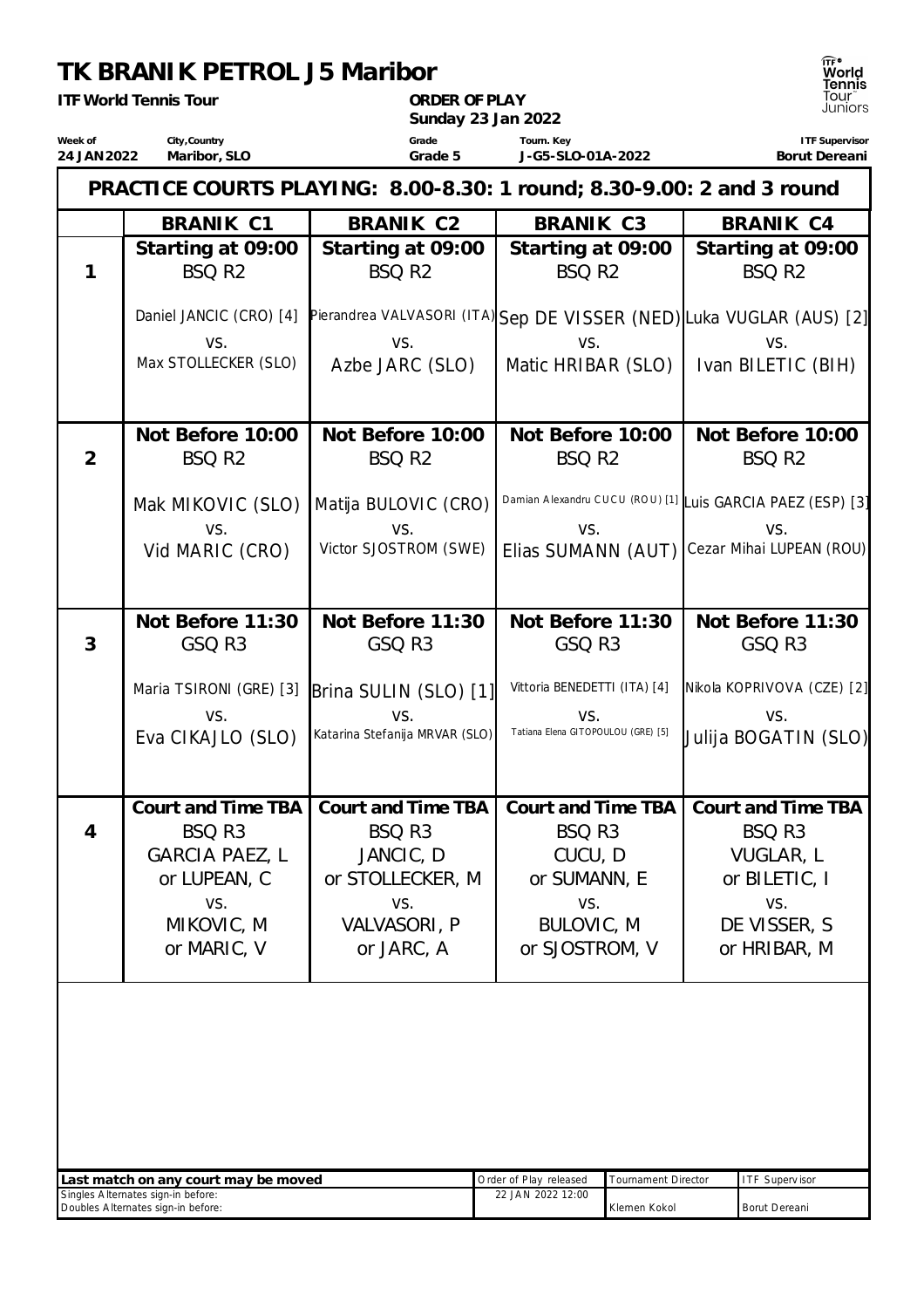## **TK BRANIK PETROL J5 Maribor**

|                        | <b>ITF World Tennis Tour</b>                                                        | ORDER OF PLAY<br>Sunday 23 Jan 2022                                                  | פוו ווסו<br>Tour`<br>Juniors                                                        |                                                                                                  |
|------------------------|-------------------------------------------------------------------------------------|--------------------------------------------------------------------------------------|-------------------------------------------------------------------------------------|--------------------------------------------------------------------------------------------------|
| Week of<br>24 JAN 2022 | City, Country<br>Maribor, SLO                                                       | Grade<br>Grade 5                                                                     | Tourn. Key<br>J-G5-SLO-01A-2022                                                     | <b>ITF Supervisor</b><br>Borut Dereani                                                           |
|                        |                                                                                     | PRACTICE COURTS PLAYING: 8.00-8.30: 1 round; 8.30-9.00: 2 and 3 round                |                                                                                     |                                                                                                  |
|                        | <b>BRANIK C1</b>                                                                    | <b>BRANIK C2</b>                                                                     | BRANIK C3                                                                           | <b>BRANIK C4</b>                                                                                 |
| 1                      | Starting at 09:00<br>BSQ R <sub>2</sub>                                             | Starting at 09:00<br>BSQ R <sub>2</sub>                                              | Starting at 09:00<br>BSQ R <sub>2</sub>                                             | Starting at 09:00<br>BSQ R <sub>2</sub>                                                          |
|                        | Daniel JANCIC (CRO) [4]<br>VS.<br>Max STOLLECKER (SLO)                              | VS.<br>Azbe JARC (SLO)                                                               | VS.<br>Matic HRIBAR (SLO)                                                           | Pierandrea VALVASORI (ITA)Sep DE VISSER (NED) Luka VUGLAR (AUS) [2]<br>VS.<br>Ivan BILETIC (BIH) |
|                        | Not Before 10:00                                                                    | Not Before 10:00                                                                     | Not Before 10:00                                                                    | Not Before 10:00                                                                                 |
| $\overline{2}$         | BSQ R2                                                                              | BSQ R2                                                                               | BSQ R <sub>2</sub>                                                                  | BSQ R <sub>2</sub>                                                                               |
|                        | Mak MIKOVIC (SLO)<br>VS.<br>Vid MARIC (CRO)                                         | Matija BULOVIC (CRO)<br>VS.<br>Victor SJOSTROM (SWE)                                 | VS.<br>Elias SUMANN (AUT)                                                           | Damian Alexandru CUCU (ROU) [1] Luis GARCIA PAEZ (ESP) [3]<br>VS.<br>Cezar Mihai LUPEAN (ROU)    |
|                        |                                                                                     |                                                                                      |                                                                                     |                                                                                                  |
| 3                      | Not Before 11:30<br>GSQ R3                                                          | Not Before 11:30<br>GSQ R3                                                           | Not Before 11:30<br>GSQ R3                                                          | Not Before 11:30<br>GSQ R3                                                                       |
|                        | Maria TSIRONI (GRE) [3]<br>VS.                                                      | Brina SULIN (SLO) [1]<br>VS.                                                         | Vittoria BENEDETTI (ITA) [4]<br>VS.                                                 | Nikola KOPRIVOVA (CZE) [2]<br>VS.                                                                |
|                        | Eva CIKAJLO (SLO)                                                                   | Katarina Stefanija MRVAR (SLO)                                                       | Tatiana Elena GITOPOULOU (GRE) [5]                                                  | Julija BOGATIN (SLO)                                                                             |
| $\overline{4}$         | Court and Time TBA<br>BSQ R3<br>GARCIA PAEZ, L<br>or LUPEAN, C<br>VS.<br>MIKOVIC, M | Court and Time TBA<br>BSQ R3<br>JANCIC, D<br>or STOLLECKER, M<br>VS.<br>VALVASORI, P | Court and Time TBA<br>BSQ R3<br>CUCU, D<br>or SUMANN, E<br>VS.<br><b>BULOVIC, M</b> | Court and Time TBA<br>BSQ R3<br>VUGLAR, L<br>or BILETIC, I<br>VS.<br>DE VISSER, S                |
|                        | or MARIC, V                                                                         | or JARC, A                                                                           | or SJOSTROM, V                                                                      | or HRIBAR, M                                                                                     |
|                        |                                                                                     |                                                                                      |                                                                                     |                                                                                                  |

| Last match on any court may be moved | Order of Plav released | Tournament Director | <b>I</b> ITF Supervisor |
|--------------------------------------|------------------------|---------------------|-------------------------|
| Singles Alternates sign-in before:   | 22 JAN 2022 12:00      |                     |                         |
| Doubles Alternates sign-in before:   |                        | Klemen Kokol        | Borut Dereani           |

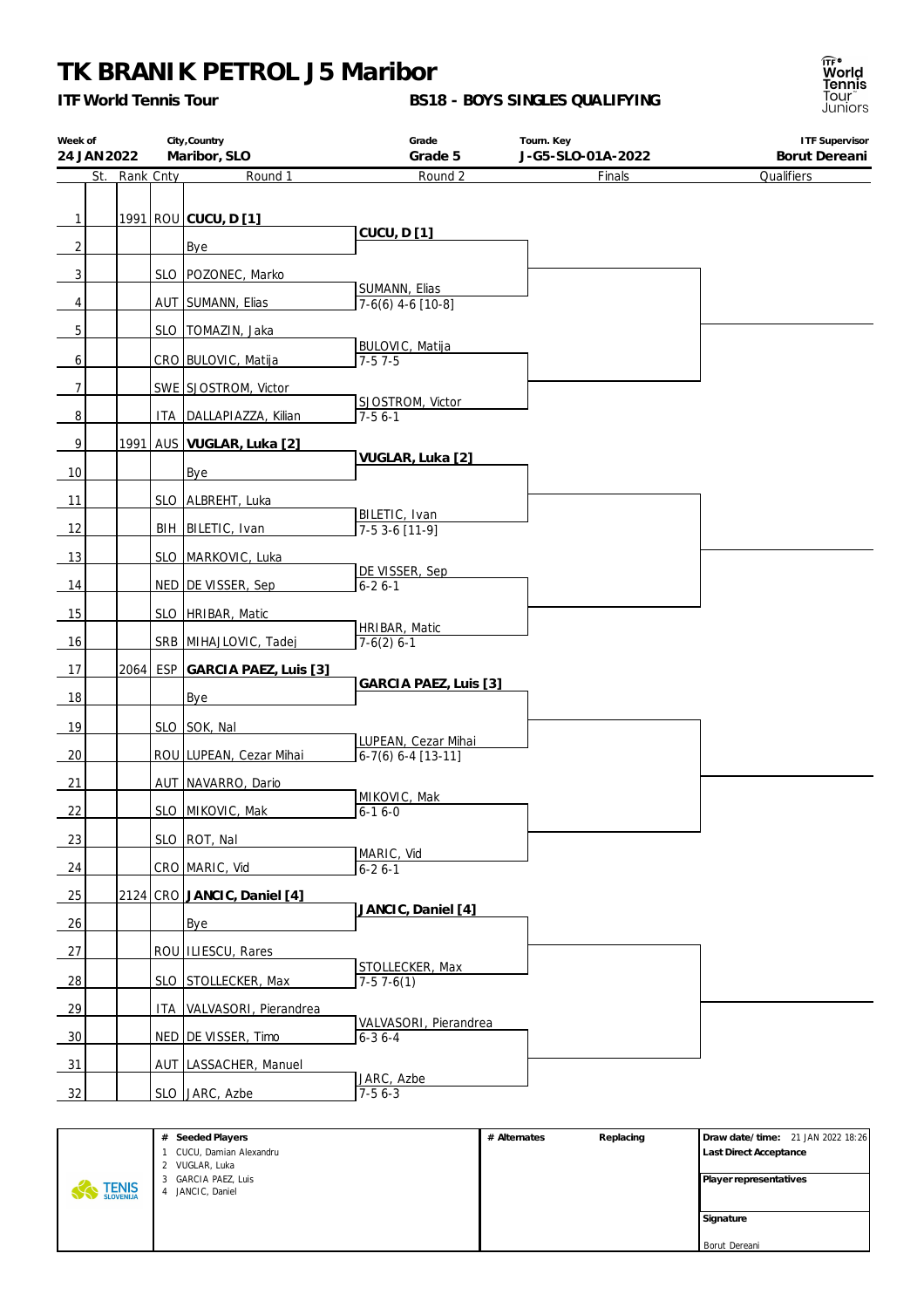## **TK BRANIK PETROL J5 Maribor**

*ITF World Tennis Tour*

**BS18 - BOYS SINGLES QUALIFYING**



| Week of        | 24 JAN 2022 |           | City, Country<br>Maribor, SLO | Grade<br>Grade 5                     | Tourn. Key<br>J-G5-SLO-01A-2022 | <b>ITF Supervisor</b><br>Borut Dereani |
|----------------|-------------|-----------|-------------------------------|--------------------------------------|---------------------------------|----------------------------------------|
|                | St.         | Rank Cnty | Round 1                       | Round 2                              | Finals                          | Qualifiers                             |
|                |             |           |                               |                                      |                                 |                                        |
| $\mathbf{1}$   |             |           | 1991 ROU CUCU, D [1]          | <b>CUCU, D[1]</b>                    |                                 |                                        |
| $\overline{2}$ |             |           | Bye                           |                                      |                                 |                                        |
| 3              |             |           | SLO   POZONEC, Marko          |                                      |                                 |                                        |
| 4              |             |           | AUT   SUMANN, Elias           | SUMANN, Elias<br>$7-6(6)$ 4-6 [10-8] |                                 |                                        |
| 5              |             |           | SLO TOMAZIN, Jaka             |                                      |                                 |                                        |
| 6              |             |           | CRO BULOVIC, Matija           | BULOVIC, Matija<br>$7-57-5$          |                                 |                                        |
| $\overline{7}$ |             |           | SWE SJOSTROM, Victor          |                                      |                                 |                                        |
| 8              |             |           | ITA   DALLAPIAZZA, Kilian     | SJOSTROM, Victor<br>$7-56-1$         |                                 |                                        |
| 9              |             | 1991      | AUS VUGLAR, Luka [2]          |                                      |                                 |                                        |
| 10             |             |           | Bye                           | VUGLAR, Luka [2]                     |                                 |                                        |
|                |             |           |                               |                                      |                                 |                                        |
| 11             |             |           | SLO ALBREHT, Luka             | BILETIC, Ivan                        |                                 |                                        |
| 12             |             |           | BIH BILETIC, Ivan             | $7-53-6[11-9]$                       |                                 |                                        |
| 13             |             |           | SLO   MARKOVIC, Luka          | DE VISSER, Sep                       |                                 |                                        |
| 14             |             |           | NED DE VISSER, Sep            | $6 - 26 - 1$                         |                                 |                                        |
| 15             |             |           | SLO   HRIBAR, Matic           |                                      |                                 |                                        |
| 16             |             |           | SRB MIHAJLOVIC, Tadej         | HRIBAR, Matic<br>$7-6(2)$ 6-1        |                                 |                                        |
| 17             |             | 2064      | ESP GARCIA PAEZ, Luis [3]     |                                      |                                 |                                        |
| 18             |             |           | Bye                           | GARCIA PAEZ, Luis [3]                |                                 |                                        |
|                |             |           |                               |                                      |                                 |                                        |
| 19             |             |           | SLO SOK, Nal                  | LUPEAN, Cezar Mihai                  |                                 |                                        |
| 20             |             |           | ROU LUPEAN, Cezar Mihai       | $6-7(6) 6-4 [13-11]$                 |                                 |                                        |
| 21             |             |           | AUT NAVARRO, Dario            | MIKOVIC, Mak                         |                                 |                                        |
| 22             |             |           | SLO MIKOVIC, Mak              | $6 - 16 - 0$                         |                                 |                                        |
| 23             |             |           | SLO ROT, Nal                  |                                      |                                 |                                        |
| 24             |             |           | CRO MARIC, Vid                | MARIC, Vid<br>$6 - 26 - 1$           |                                 |                                        |
| 25             |             |           | 2124 CRO JANCIC, Daniel [4]   |                                      |                                 |                                        |
| 26             |             |           | Bye                           | JANCIC, Daniel [4]                   |                                 |                                        |
| 27             |             |           | ROU ILIESCU, Rares            |                                      |                                 |                                        |
| 28             |             |           | SLO STOLLECKER, Max           | STOLLECKER, Max<br>$7-57-6(1)$       |                                 |                                        |
| 29             |             |           | ITA   VALVASORI, Pierandrea   |                                      |                                 |                                        |
|                |             |           |                               | VALVASORI, Pierandrea                |                                 |                                        |
| 30             |             |           | NED DE VISSER, Timo           | $6 - 36 - 4$                         |                                 |                                        |
| 31             |             |           | AUT   LASSACHER, Manuel       | JARC, Azbe                           |                                 |                                        |
| 32             |             |           | SLO JARC, Azbe                | $7-56-3$                             |                                 |                                        |

|                           | # Seeded Players       | # Alternates | Replacing | Draw date/time: 21 JAN 2022 18:26 |
|---------------------------|------------------------|--------------|-----------|-----------------------------------|
|                           | CUCU, Damian Alexandru |              |           | Last Direct Acceptance            |
|                           | 2 VUGLAR, Luka         |              |           |                                   |
|                           | 3 GARCIA PAEZ, Luis    |              |           | Player representatives            |
| <b>TENIS</b><br>SLOVENIJA | JANCIC, Daniel         |              |           |                                   |
|                           |                        |              |           |                                   |
|                           |                        |              |           | Signature                         |
|                           |                        |              |           |                                   |
|                           |                        |              |           | Borut Dereani                     |